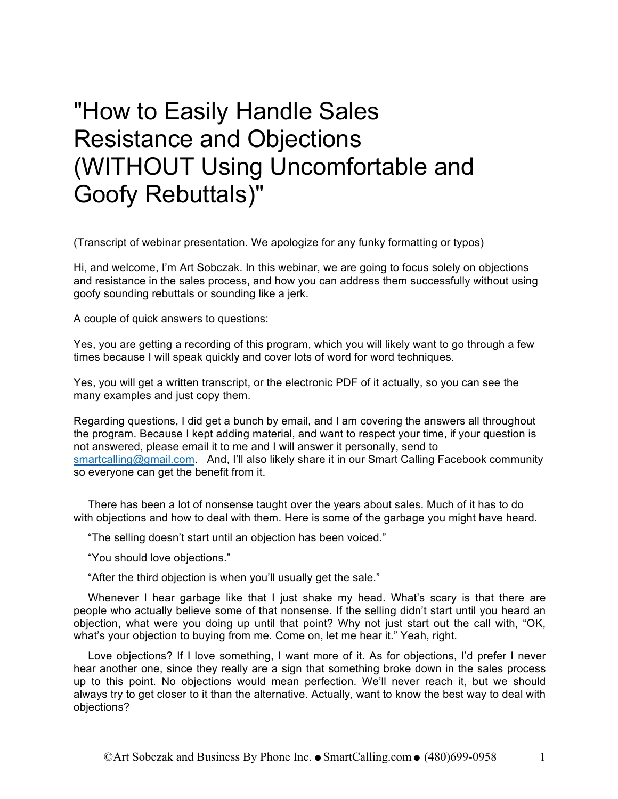# "How to Easily Handle Sales Resistance and Objections (WITHOUT Using Uncomfortable and Goofy Rebuttals)"

(Transcript of webinar presentation. We apologize for any funky formatting or typos)

Hi, and welcome, I'm Art Sobczak. In this webinar, we are going to focus solely on objections and resistance in the sales process, and how you can address them successfully without using goofy sounding rebuttals or sounding like a jerk.

A couple of quick answers to questions:

Yes, you are getting a recording of this program, which you will likely want to go through a few times because I will speak quickly and cover lots of word for word techniques.

Yes, you will get a written transcript, or the electronic PDF of it actually, so you can see the many examples and just copy them.

Regarding questions, I did get a bunch by email, and I am covering the answers all throughout the program. Because I kept adding material, and want to respect your time, if your question is not answered, please email it to me and I will answer it personally, send to smartcalling@gmail.com. And, I'll also likely share it in our Smart Calling Facebook community so everyone can get the benefit from it.

There has been a lot of nonsense taught over the years about sales. Much of it has to do with objections and how to deal with them. Here is some of the garbage you might have heard.

"The selling doesn't start until an objection has been voiced."

"You should love objections."

"After the third objection is when you'll usually get the sale."

Whenever I hear garbage like that I just shake my head. What's scary is that there are people who actually believe some of that nonsense. If the selling didn't start until you heard an objection, what were you doing up until that point? Why not just start out the call with, "OK, what's your objection to buying from me. Come on, let me hear it." Yeah, right.

Love objections? If I love something, I want more of it. As for objections, I'd prefer I never hear another one, since they really are a sign that something broke down in the sales process up to this point. No objections would mean perfection. We'll never reach it, but we should always try to get closer to it than the alternative. Actually, want to know the best way to deal with objections?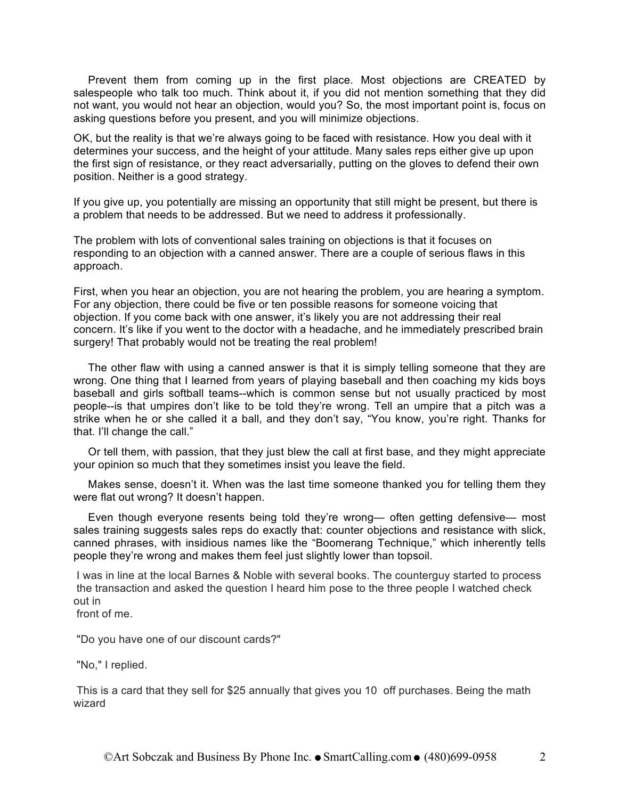Prevent them from coming up in the first place. Most objections are CREATED by salespeople who talk too much. Think about it, if you did not mention something that they did not want, you would not hear an objection, would you? So, the most important point is, focus on asking questions before you present, and you will minimize objections.

OK, but the reality is that we're always going to be faced with resistance. How you deal with it determines your success, and the height of your attitude. Many sales reps either give up upon the first sign of resistance, or they react adversarially, putting on the gloves to defend their own position. Neither is a good strategy.

If you give up, you potentially are missing an opportunity that still might be present, but there is a problem that needs to be addressed. But we need to address it professionally.

The problem with lots of conventional sales training on objections is that it focuses on responding to an objection with a canned answer. There are a couple of serious flaws in this approach.

First, when you hear an objection, you are not hearing the problem, you are hearing a symptom. For any objection, there could be five or ten possible reasons for someone voicing that objection. If you come back with one answer, it's likely you are not addressing their real concern. It's like if you went to the doctor with a headache, and he immediately prescribed brain surgery! That probably would not be treating the real problem!

The other flaw with using a canned answer is that it is simply telling someone that they are wrong. One thing that I learned from years of playing baseball and then coaching my kids boys baseball and girls softball teams--which is common sense but not usually practiced by most people--is that umpires don't like to be told they're wrong. Tell an umpire that a pitch was a strike when he or she called it a ball, and they don't say, "You know, you're right. Thanks for that. I'll change the call."

Or tell them, with passion, that they just blew the call at first base, and they might appreciate your opinion so much that they sometimes insist you leave the field.

Makes sense, doesn't it. When was the last time someone thanked you for telling them they were flat out wrong? It doesn't happen.

Even though everyone resents being told they're wrong— often getting defensive— most sales training suggests sales reps do exactly that: counter objections and resistance with slick, canned phrases, with insidious names like the "Boomerang Technique," which inherently tells people they're wrong and makes them feel just slightly lower than topsoil.

I was in line at the local Barnes & Noble with several books. The counterguy started to process the transaction and asked the question I heard him pose to the three people I watched check out in front of me.

"Do you have one of our discount cards?"

"No," I replied.

This is a card that they sell for \$25 annually that gives you 10 off purchases. Being the math wizard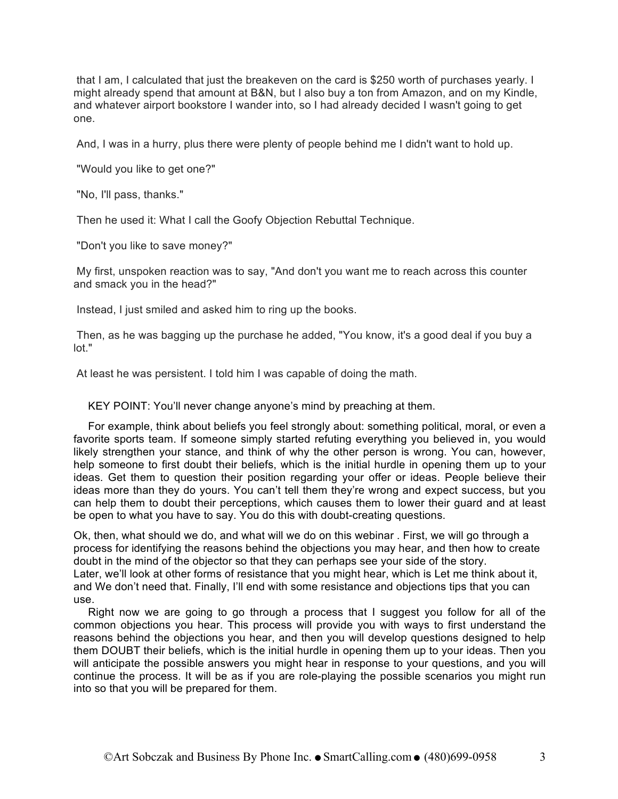that I am, I calculated that just the breakeven on the card is \$250 worth of purchases yearly. I might already spend that amount at B&N, but I also buy a ton from Amazon, and on my Kindle, and whatever airport bookstore I wander into, so I had already decided I wasn't going to get one.

And, I was in a hurry, plus there were plenty of people behind me I didn't want to hold up.

"Would you like to get one?"

"No, I'll pass, thanks."

Then he used it: What I call the Goofy Objection Rebuttal Technique.

"Don't you like to save money?"

My first, unspoken reaction was to say, "And don't you want me to reach across this counter and smack you in the head?"

Instead, I just smiled and asked him to ring up the books.

Then, as he was bagging up the purchase he added, "You know, it's a good deal if you buy a lot."

At least he was persistent. I told him I was capable of doing the math.

KEY POINT: You'll never change anyone's mind by preaching at them.

For example, think about beliefs you feel strongly about: something political, moral, or even a favorite sports team. If someone simply started refuting everything you believed in, you would likely strengthen your stance, and think of why the other person is wrong. You can, however, help someone to first doubt their beliefs, which is the initial hurdle in opening them up to your ideas. Get them to question their position regarding your offer or ideas. People believe their ideas more than they do yours. You can't tell them they're wrong and expect success, but you can help them to doubt their perceptions, which causes them to lower their guard and at least be open to what you have to say. You do this with doubt-creating questions.

Ok, then, what should we do, and what will we do on this webinar . First, we will go through a process for identifying the reasons behind the objections you may hear, and then how to create doubt in the mind of the objector so that they can perhaps see your side of the story. Later, we'll look at other forms of resistance that you might hear, which is Let me think about it, and We don't need that. Finally, I'll end with some resistance and objections tips that you can use.

Right now we are going to go through a process that I suggest you follow for all of the common objections you hear. This process will provide you with ways to first understand the reasons behind the objections you hear, and then you will develop questions designed to help them DOUBT their beliefs, which is the initial hurdle in opening them up to your ideas. Then you will anticipate the possible answers you might hear in response to your questions, and you will continue the process. It will be as if you are role-playing the possible scenarios you might run into so that you will be prepared for them.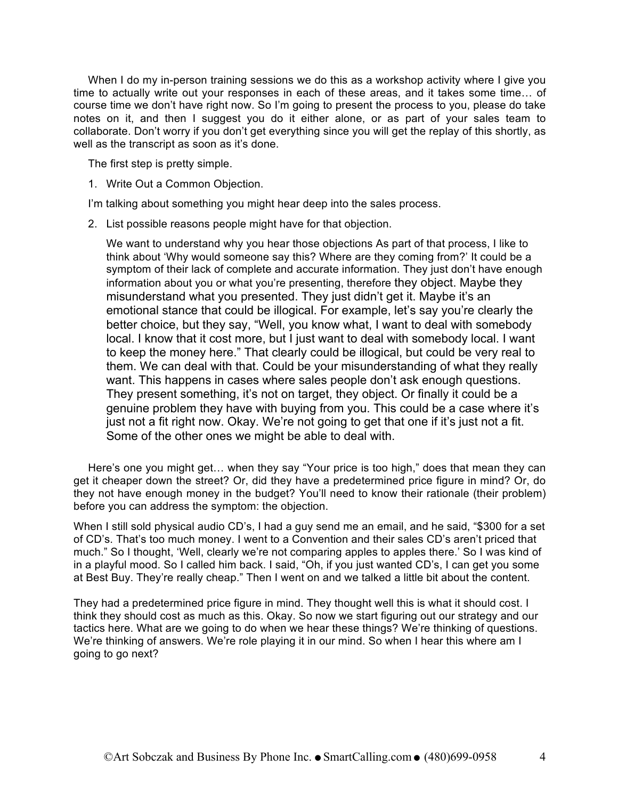When I do my in-person training sessions we do this as a workshop activity where I give you time to actually write out your responses in each of these areas, and it takes some time… of course time we don't have right now. So I'm going to present the process to you, please do take notes on it, and then I suggest you do it either alone, or as part of your sales team to collaborate. Don't worry if you don't get everything since you will get the replay of this shortly, as well as the transcript as soon as it's done.

The first step is pretty simple.

1. Write Out a Common Objection.

I'm talking about something you might hear deep into the sales process.

2. List possible reasons people might have for that objection.

We want to understand why you hear those objections As part of that process, I like to think about 'Why would someone say this? Where are they coming from?' It could be a symptom of their lack of complete and accurate information. They just don't have enough information about you or what you're presenting, therefore they object. Maybe they misunderstand what you presented. They just didn't get it. Maybe it's an emotional stance that could be illogical. For example, let's say you're clearly the better choice, but they say, "Well, you know what, I want to deal with somebody local. I know that it cost more, but I just want to deal with somebody local. I want to keep the money here." That clearly could be illogical, but could be very real to them. We can deal with that. Could be your misunderstanding of what they really want. This happens in cases where sales people don't ask enough questions. They present something, it's not on target, they object. Or finally it could be a genuine problem they have with buying from you. This could be a case where it's just not a fit right now. Okay. We're not going to get that one if it's just not a fit. Some of the other ones we might be able to deal with.

Here's one you might get… when they say "Your price is too high," does that mean they can get it cheaper down the street? Or, did they have a predetermined price figure in mind? Or, do they not have enough money in the budget? You'll need to know their rationale (their problem) before you can address the symptom: the objection.

When I still sold physical audio CD's, I had a guy send me an email, and he said, "\$300 for a set of CD's. That's too much money. I went to a Convention and their sales CD's aren't priced that much." So I thought, 'Well, clearly we're not comparing apples to apples there.' So I was kind of in a playful mood. So I called him back. I said, "Oh, if you just wanted CD's, I can get you some at Best Buy. They're really cheap." Then I went on and we talked a little bit about the content.

They had a predetermined price figure in mind. They thought well this is what it should cost. I think they should cost as much as this. Okay. So now we start figuring out our strategy and our tactics here. What are we going to do when we hear these things? We're thinking of questions. We're thinking of answers. We're role playing it in our mind. So when I hear this where am I going to go next?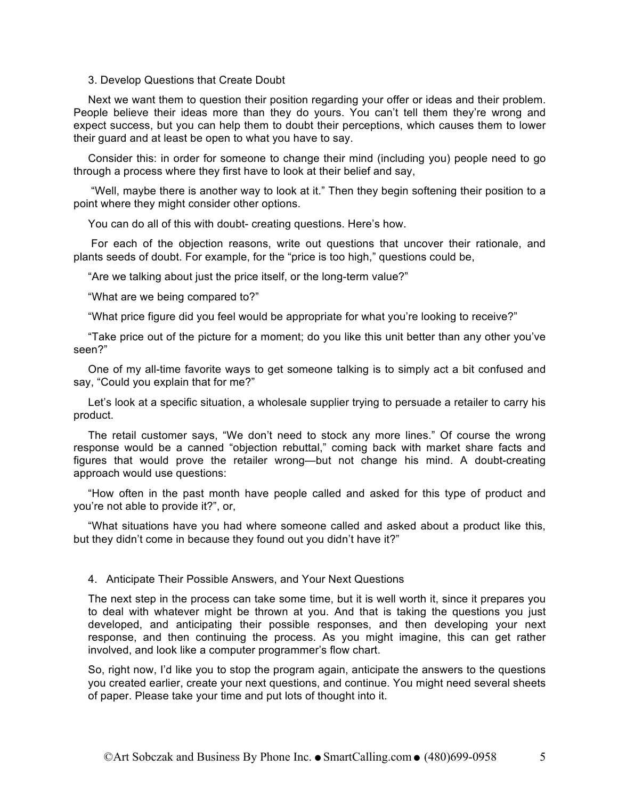#### 3. Develop Questions that Create Doubt

Next we want them to question their position regarding your offer or ideas and their problem. People believe their ideas more than they do yours. You can't tell them they're wrong and expect success, but you can help them to doubt their perceptions, which causes them to lower their guard and at least be open to what you have to say.

Consider this: in order for someone to change their mind (including you) people need to go through a process where they first have to look at their belief and say,

"Well, maybe there is another way to look at it." Then they begin softening their position to a point where they might consider other options.

You can do all of this with doubt- creating questions. Here's how.

For each of the objection reasons, write out questions that uncover their rationale, and plants seeds of doubt. For example, for the "price is too high," questions could be,

"Are we talking about just the price itself, or the long-term value?"

"What are we being compared to?"

"What price figure did you feel would be appropriate for what you're looking to receive?"

"Take price out of the picture for a moment; do you like this unit better than any other you've seen?"

One of my all-time favorite ways to get someone talking is to simply act a bit confused and say, "Could you explain that for me?"

Let's look at a specific situation, a wholesale supplier trying to persuade a retailer to carry his product.

The retail customer says, "We don't need to stock any more lines." Of course the wrong response would be a canned "objection rebuttal," coming back with market share facts and figures that would prove the retailer wrong—but not change his mind. A doubt-creating approach would use questions:

"How often in the past month have people called and asked for this type of product and you're not able to provide it?", or,

"What situations have you had where someone called and asked about a product like this, but they didn't come in because they found out you didn't have it?"

#### 4. Anticipate Their Possible Answers, and Your Next Questions

The next step in the process can take some time, but it is well worth it, since it prepares you to deal with whatever might be thrown at you. And that is taking the questions you just developed, and anticipating their possible responses, and then developing your next response, and then continuing the process. As you might imagine, this can get rather involved, and look like a computer programmer's flow chart.

So, right now, I'd like you to stop the program again, anticipate the answers to the questions you created earlier, create your next questions, and continue. You might need several sheets of paper. Please take your time and put lots of thought into it.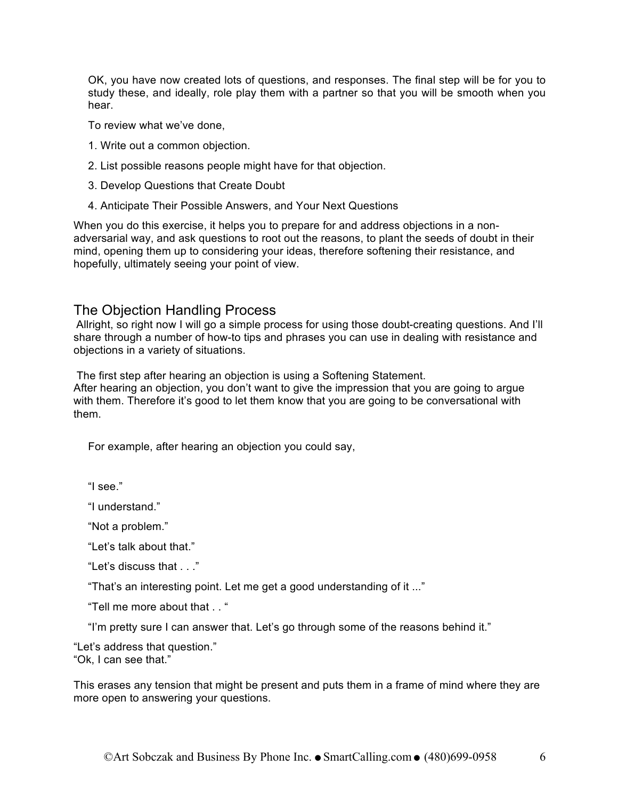OK, you have now created lots of questions, and responses. The final step will be for you to study these, and ideally, role play them with a partner so that you will be smooth when you hear.

To review what we've done,

- 1. Write out a common objection.
- 2. List possible reasons people might have for that objection.
- 3. Develop Questions that Create Doubt
- 4. Anticipate Their Possible Answers, and Your Next Questions

When you do this exercise, it helps you to prepare for and address objections in a nonadversarial way, and ask questions to root out the reasons, to plant the seeds of doubt in their mind, opening them up to considering your ideas, therefore softening their resistance, and hopefully, ultimately seeing your point of view.

# The Objection Handling Process

Allright, so right now I will go a simple process for using those doubt-creating questions. And I'll share through a number of how-to tips and phrases you can use in dealing with resistance and objections in a variety of situations.

The first step after hearing an objection is using a Softening Statement.

After hearing an objection, you don't want to give the impression that you are going to argue with them. Therefore it's good to let them know that you are going to be conversational with them.

For example, after hearing an objection you could say,

 $"$  see."

"I understand."

"Not a problem."

"Let's talk about that."

"Let's discuss that . . ."

"That's an interesting point. Let me get a good understanding of it ..."

"Tell me more about that . . "

"I'm pretty sure I can answer that. Let's go through some of the reasons behind it."

"Let's address that question." "Ok, I can see that."

This erases any tension that might be present and puts them in a frame of mind where they are more open to answering your questions.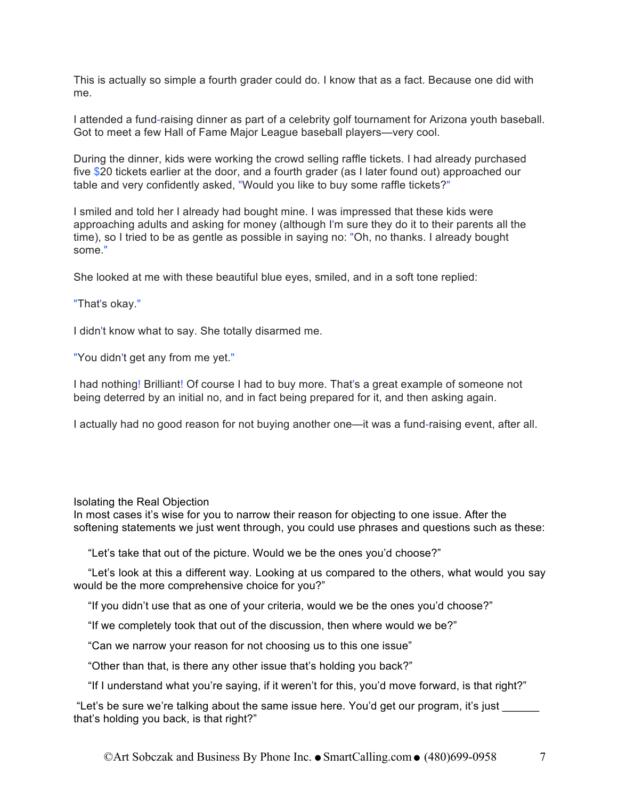This is actually so simple a fourth grader could do. I know that as a fact. Because one did with me.

I attended a fund-raising dinner as part of a celebrity golf tournament for Arizona youth baseball. Got to meet a few Hall of Fame Major League baseball players—very cool.

During the dinner, kids were working the crowd selling raffle tickets. I had already purchased five \$20 tickets earlier at the door, and a fourth grader (as I later found out) approached our table and very confidently asked, "Would you like to buy some raffle tickets?"

I smiled and told her I already had bought mine. I was impressed that these kids were approaching adults and asking for money (although I'm sure they do it to their parents all the time), so I tried to be as gentle as possible in saying no: "Oh, no thanks. I already bought some."

She looked at me with these beautiful blue eyes, smiled, and in a soft tone replied:

"That's okay."

I didn't know what to say. She totally disarmed me.

"You didn't get any from me yet."

I had nothing! Brilliant! Of course I had to buy more. That's a great example of someone not being deterred by an initial no, and in fact being prepared for it, and then asking again.

I actually had no good reason for not buying another one—it was a fund-raising event, after all.

#### Isolating the Real Objection

In most cases it's wise for you to narrow their reason for objecting to one issue. After the softening statements we just went through, you could use phrases and questions such as these:

"Let's take that out of the picture. Would we be the ones you'd choose?"

"Let's look at this a different way. Looking at us compared to the others, what would you say would be the more comprehensive choice for you?"

"If you didn't use that as one of your criteria, would we be the ones you'd choose?"

"If we completely took that out of the discussion, then where would we be?"

"Can we narrow your reason for not choosing us to this one issue"

"Other than that, is there any other issue that's holding you back?"

"If I understand what you're saying, if it weren't for this, you'd move forward, is that right?"

"Let's be sure we're talking about the same issue here. You'd get our program, it's just that's holding you back, is that right?"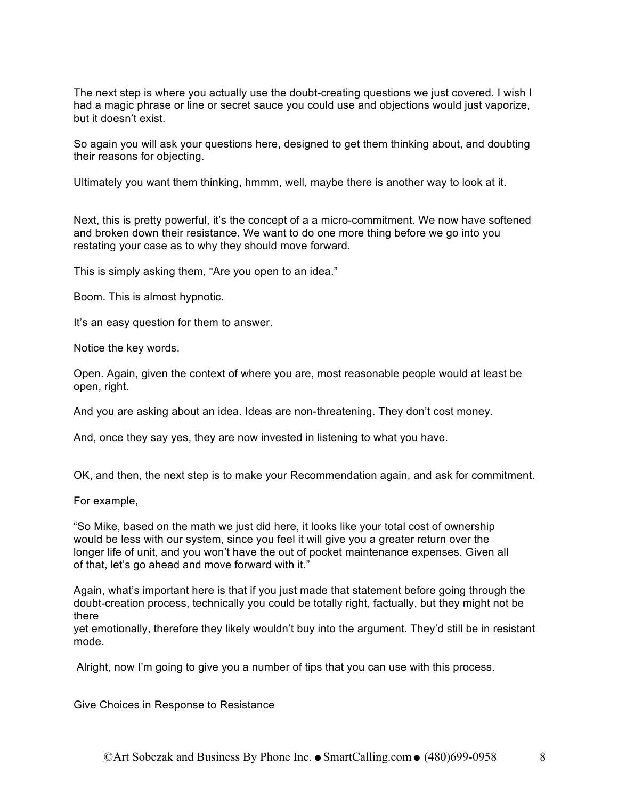The next step is where you actually use the doubt-creating questions we just covered. I wish I had a magic phrase or line or secret sauce you could use and objections would just vaporize, but it doesn't exist.

So again you will ask your questions here, designed to get them thinking about, and doubting their reasons for objecting.

Ultimately you want them thinking, hmmm, well, maybe there is another way to look at it.

Next, this is pretty powerful, it's the concept of a a micro-commitment. We now have softened and broken down their resistance. We want to do one more thing before we go into you restating your case as to why they should move forward.

This is simply asking them, "Are you open to an idea."

Boom. This is almost hypnotic.

It's an easy question for them to answer.

Notice the key words.

Open. Again, given the context of where you are, most reasonable people would at least be open, right.

And you are asking about an idea. Ideas are non-threatening. They don't cost money.

And, once they say yes, they are now invested in listening to what you have.

OK, and then, the next step is to make your Recommendation again, and ask for commitment.

For example,

"So Mike, based on the math we just did here, it looks like your total cost of ownership would be less with our system, since you feel it will give you a greater return over the longer life of unit, and you won't have the out of pocket maintenance expenses. Given all of that, let's go ahead and move forward with it."

Again, what's important here is that if you just made that statement before going through the doubt-creation process, technically you could be totally right, factually, but they might not be there

yet emotionally, therefore they likely wouldn't buy into the argument. They'd still be in resistant mode.

Alright, now I'm going to give you a number of tips that you can use with this process.

Give Choices in Response to Resistance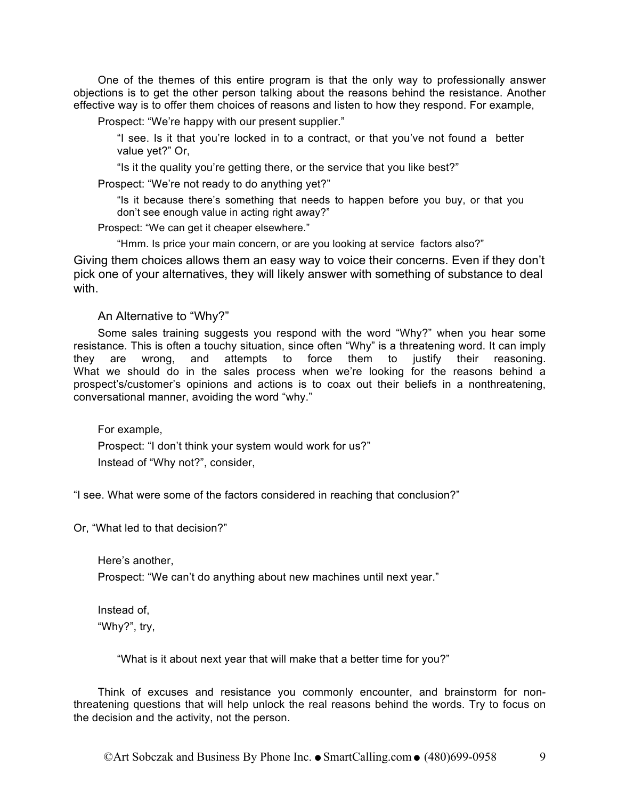One of the themes of this entire program is that the only way to professionally answer objections is to get the other person talking about the reasons behind the resistance. Another effective way is to offer them choices of reasons and listen to how they respond. For example,

Prospect: "We're happy with our present supplier."

"I see. Is it that you're locked in to a contract, or that you've not found a better value yet?" Or,

"Is it the quality you're getting there, or the service that you like best?"

Prospect: "We're not ready to do anything yet?"

"Is it because there's something that needs to happen before you buy, or that you don't see enough value in acting right away?"

Prospect: "We can get it cheaper elsewhere."

"Hmm. Is price your main concern, or are you looking at service factors also?"

Giving them choices allows them an easy way to voice their concerns. Even if they don't pick one of your alternatives, they will likely answer with something of substance to deal with.

### An Alternative to "Why?"

Some sales training suggests you respond with the word "Why?" when you hear some resistance. This is often a touchy situation, since often "Why" is a threatening word. It can imply they are wrong, and attempts to force them to justify their reasoning. What we should do in the sales process when we're looking for the reasons behind a prospect's/customer's opinions and actions is to coax out their beliefs in a nonthreatening, conversational manner, avoiding the word "why."

For example,

Prospect: "I don't think your system would work for us?" Instead of "Why not?", consider,

"I see. What were some of the factors considered in reaching that conclusion?"

Or, "What led to that decision?"

Here's another, Prospect: "We can't do anything about new machines until next year."

Instead of, "Why?", try,

"What is it about next year that will make that a better time for you?"

Think of excuses and resistance you commonly encounter, and brainstorm for nonthreatening questions that will help unlock the real reasons behind the words. Try to focus on the decision and the activity, not the person.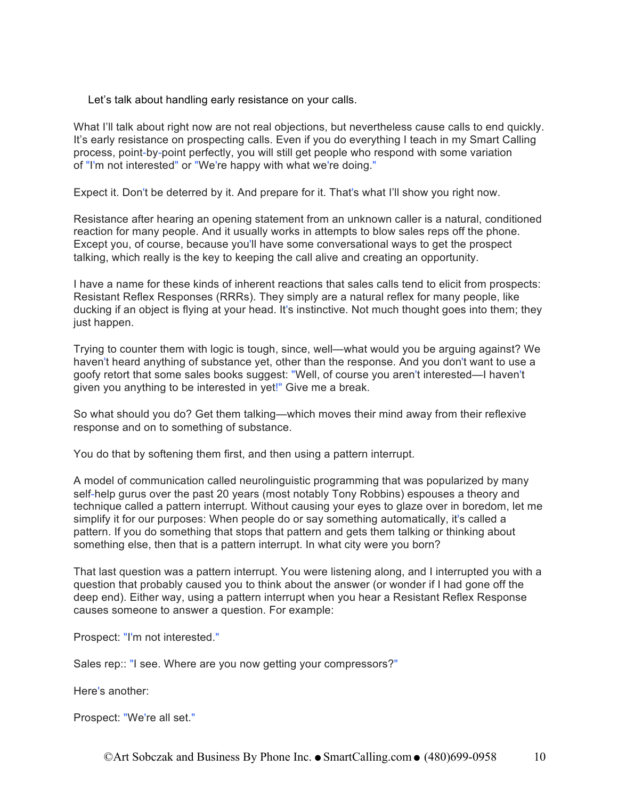Let's talk about handling early resistance on your calls.

What I'll talk about right now are not real objections, but nevertheless cause calls to end quickly. It's early resistance on prospecting calls. Even if you do everything I teach in my Smart Calling process, point-by-point perfectly, you will still get people who respond with some variation of "I'm not interested" or "We're happy with what we're doing."

Expect it. Don't be deterred by it. And prepare for it. That's what I'll show you right now.

Resistance after hearing an opening statement from an unknown caller is a natural, conditioned reaction for many people. And it usually works in attempts to blow sales reps off the phone. Except you, of course, because you'll have some conversational ways to get the prospect talking, which really is the key to keeping the call alive and creating an opportunity.

I have a name for these kinds of inherent reactions that sales calls tend to elicit from prospects: Resistant Reflex Responses (RRRs). They simply are a natural reflex for many people, like ducking if an object is flying at your head. It's instinctive. Not much thought goes into them; they just happen.

Trying to counter them with logic is tough, since, well—what would you be arguing against? We haven't heard anything of substance yet, other than the response. And you don't want to use a goofy retort that some sales books suggest: "Well, of course you aren't interested—I haven't given you anything to be interested in yet!" Give me a break.

So what should you do? Get them talking—which moves their mind away from their reflexive response and on to something of substance.

You do that by softening them first, and then using a pattern interrupt.

A model of communication called neurolinguistic programming that was popularized by many self-help gurus over the past 20 years (most notably Tony Robbins) espouses a theory and technique called a pattern interrupt. Without causing your eyes to glaze over in boredom, let me simplify it for our purposes: When people do or say something automatically, it's called a pattern. If you do something that stops that pattern and gets them talking or thinking about something else, then that is a pattern interrupt. In what city were you born?

That last question was a pattern interrupt. You were listening along, and I interrupted you with a question that probably caused you to think about the answer (or wonder if I had gone off the deep end). Either way, using a pattern interrupt when you hear a Resistant Reflex Response causes someone to answer a question. For example:

Prospect: "I'm not interested."

Sales rep:: "I see. Where are you now getting your compressors?"

Here's another:

Prospect: "We're all set."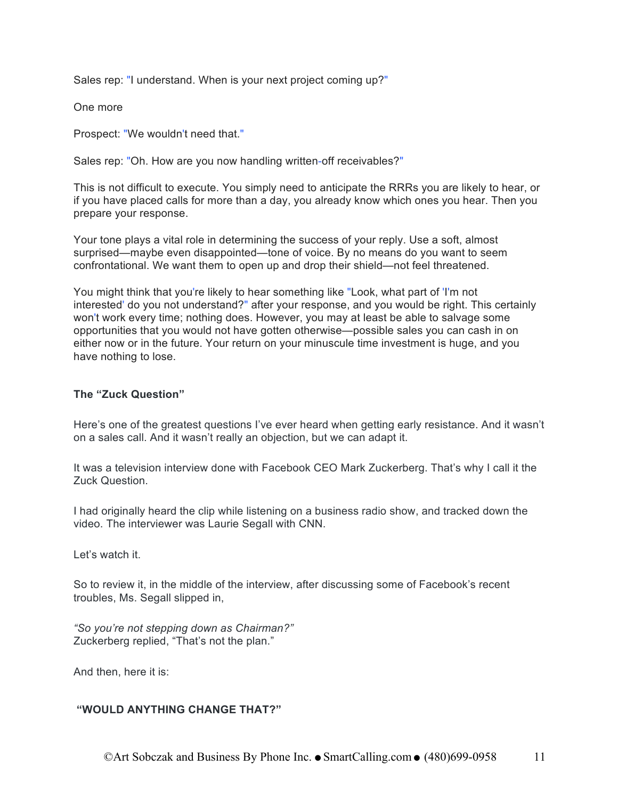Sales rep: "I understand. When is your next project coming up?"

One more

Prospect: "We wouldn't need that."

Sales rep: "Oh. How are you now handling written-off receivables?"

This is not difficult to execute. You simply need to anticipate the RRRs you are likely to hear, or if you have placed calls for more than a day, you already know which ones you hear. Then you prepare your response.

Your tone plays a vital role in determining the success of your reply. Use a soft, almost surprised—maybe even disappointed—tone of voice. By no means do you want to seem confrontational. We want them to open up and drop their shield—not feel threatened.

You might think that you're likely to hear something like "Look, what part of 'I'm not interested' do you not understand?" after your response, and you would be right. This certainly won't work every time; nothing does. However, you may at least be able to salvage some opportunities that you would not have gotten otherwise—possible sales you can cash in on either now or in the future. Your return on your minuscule time investment is huge, and you have nothing to lose.

## **The "Zuck Question"**

Here's one of the greatest questions I've ever heard when getting early resistance. And it wasn't on a sales call. And it wasn't really an objection, but we can adapt it.

It was a television interview done with Facebook CEO Mark Zuckerberg. That's why I call it the Zuck Question.

I had originally heard the clip while listening on a business radio show, and tracked down the video. The interviewer was Laurie Segall with CNN.

Let's watch it.

So to review it, in the middle of the interview, after discussing some of Facebook's recent troubles, Ms. Segall slipped in,

*"So you're not stepping down as Chairman?"* Zuckerberg replied, "That's not the plan."

And then, here it is:

# **"WOULD ANYTHING CHANGE THAT?"**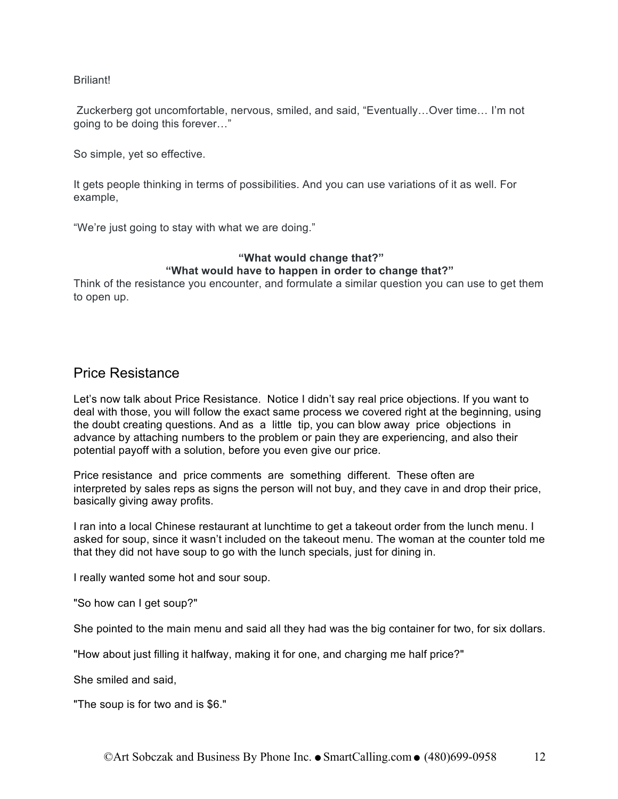Briliant!

Zuckerberg got uncomfortable, nervous, smiled, and said, "Eventually…Over time… I'm not going to be doing this forever…"

So simple, yet so effective.

It gets people thinking in terms of possibilities. And you can use variations of it as well. For example,

"We're just going to stay with what we are doing."

# **"What would change that?" "What would have to happen in order to change that?"**

Think of the resistance you encounter, and formulate a similar question you can use to get them to open up.

# Price Resistance

Let's now talk about Price Resistance. Notice I didn't say real price objections. If you want to deal with those, you will follow the exact same process we covered right at the beginning, using the doubt creating questions. And as a little tip, you can blow away price objections in advance by attaching numbers to the problem or pain they are experiencing, and also their potential payoff with a solution, before you even give our price.

Price resistance and price comments are something different. These often are interpreted by sales reps as signs the person will not buy, and they cave in and drop their price, basically giving away profits.

I ran into a local Chinese restaurant at lunchtime to get a takeout order from the lunch menu. I asked for soup, since it wasn't included on the takeout menu. The woman at the counter told me that they did not have soup to go with the lunch specials, just for dining in.

I really wanted some hot and sour soup.

"So how can I get soup?"

She pointed to the main menu and said all they had was the big container for two, for six dollars.

"How about just filling it halfway, making it for one, and charging me half price?"

She smiled and said,

"The soup is for two and is \$6."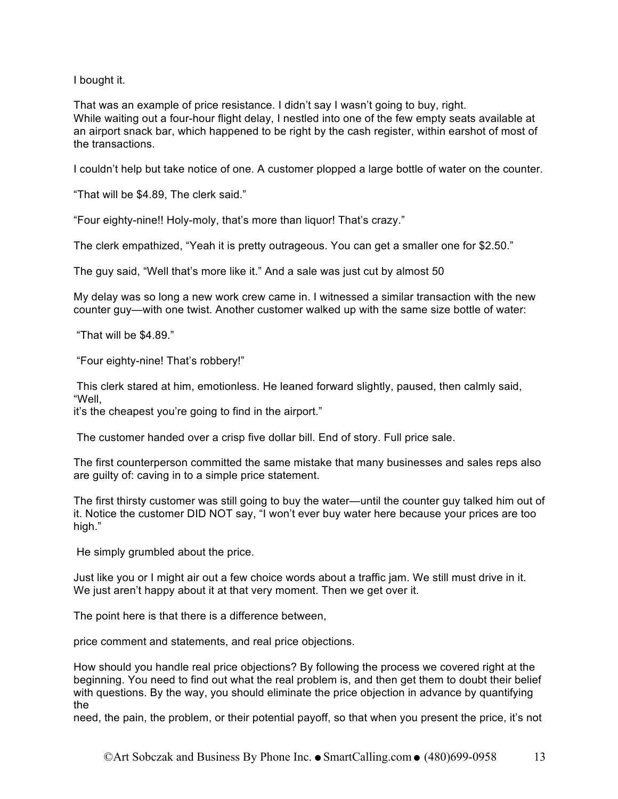I bought it.

That was an example of price resistance. I didn't say I wasn't going to buy, right. While waiting out a four-hour flight delay, I nestled into one of the few empty seats available at an airport snack bar, which happened to be right by the cash register, within earshot of most of the transactions.

I couldn't help but take notice of one. A customer plopped a large bottle of water on the counter.

"That will be \$4.89, The clerk said."

"Four eighty-nine!! Holy-moly, that's more than liquor! That's crazy."

The clerk empathized, "Yeah it is pretty outrageous. You can get a smaller one for \$2.50."

The guy said, "Well that's more like it." And a sale was just cut by almost 50

My delay was so long a new work crew came in. I witnessed a similar transaction with the new counter guy—with one twist. Another customer walked up with the same size bottle of water:

"That will be \$4.89."

"Four eighty-nine! That's robbery!"

This clerk stared at him, emotionless. He leaned forward slightly, paused, then calmly said, "Well,

it's the cheapest you're going to find in the airport."

The customer handed over a crisp five dollar bill. End of story. Full price sale.

The first counterperson committed the same mistake that many businesses and sales reps also are guilty of: caving in to a simple price statement.

The first thirsty customer was still going to buy the water—until the counter guy talked him out of it. Notice the customer DID NOT say, "I won't ever buy water here because your prices are too high."

He simply grumbled about the price.

Just like you or I might air out a few choice words about a traffic jam. We still must drive in it. We just aren't happy about it at that very moment. Then we get over it.

The point here is that there is a difference between,

price comment and statements, and real price objections.

How should you handle real price objections? By following the process we covered right at the beginning. You need to find out what the real problem is, and then get them to doubt their belief with questions. By the way, you should eliminate the price objection in advance by quantifying the

need, the pain, the problem, or their potential payoff, so that when you present the price, it's not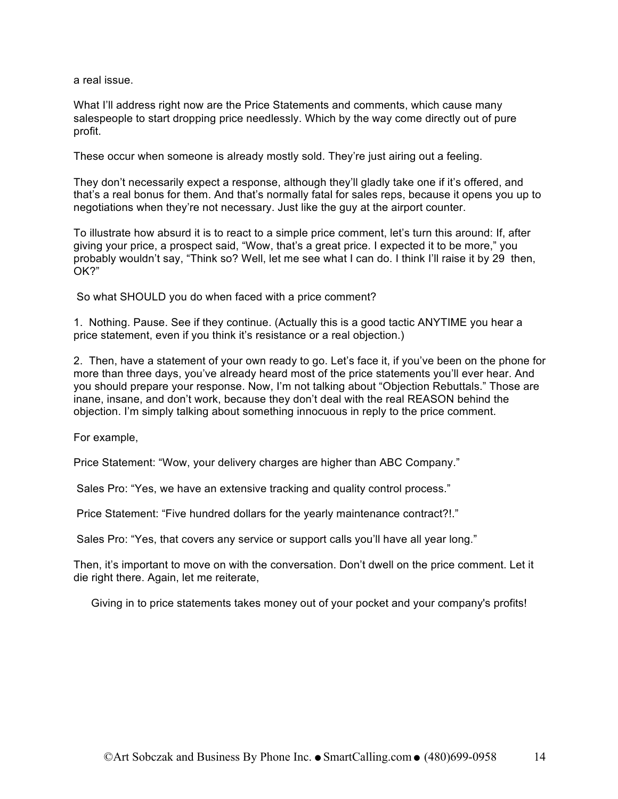a real issue.

What I'll address right now are the Price Statements and comments, which cause many salespeople to start dropping price needlessly. Which by the way come directly out of pure profit.

These occur when someone is already mostly sold. They're just airing out a feeling.

They don't necessarily expect a response, although they'll gladly take one if it's offered, and that's a real bonus for them. And that's normally fatal for sales reps, because it opens you up to negotiations when they're not necessary. Just like the guy at the airport counter.

To illustrate how absurd it is to react to a simple price comment, let's turn this around: If, after giving your price, a prospect said, "Wow, that's a great price. I expected it to be more," you probably wouldn't say, "Think so? Well, let me see what I can do. I think I'll raise it by 29 then, OK?"

So what SHOULD you do when faced with a price comment?

1. Nothing. Pause. See if they continue. (Actually this is a good tactic ANYTIME you hear a price statement, even if you think it's resistance or a real objection.)

2. Then, have a statement of your own ready to go. Let's face it, if you've been on the phone for more than three days, you've already heard most of the price statements you'll ever hear. And you should prepare your response. Now, I'm not talking about "Objection Rebuttals." Those are inane, insane, and don't work, because they don't deal with the real REASON behind the objection. I'm simply talking about something innocuous in reply to the price comment.

For example,

Price Statement: "Wow, your delivery charges are higher than ABC Company."

Sales Pro: "Yes, we have an extensive tracking and quality control process."

Price Statement: "Five hundred dollars for the yearly maintenance contract?!."

Sales Pro: "Yes, that covers any service or support calls you'll have all year long."

Then, it's important to move on with the conversation. Don't dwell on the price comment. Let it die right there. Again, let me reiterate,

Giving in to price statements takes money out of your pocket and your company's profits!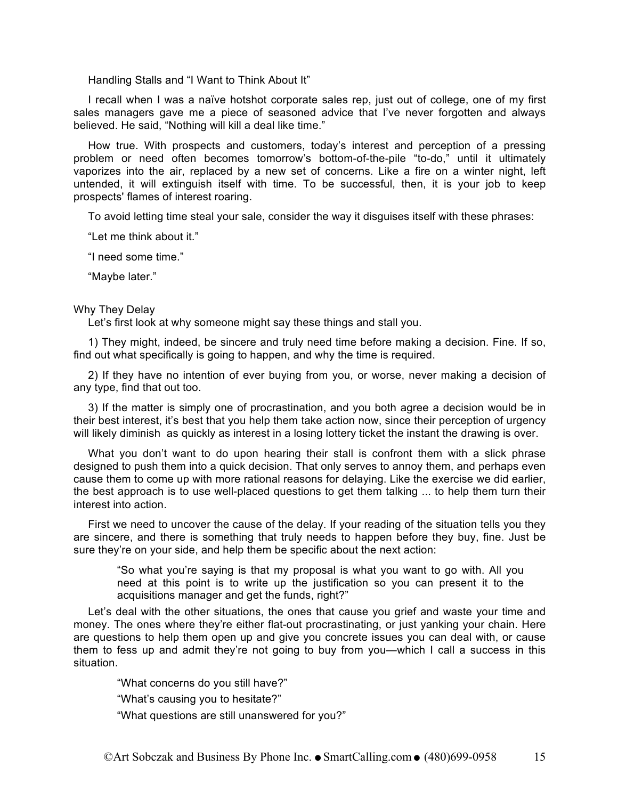Handling Stalls and "I Want to Think About It"

I recall when I was a naïve hotshot corporate sales rep, just out of college, one of my first sales managers gave me a piece of seasoned advice that I've never forgotten and always believed. He said, "Nothing will kill a deal like time."

How true. With prospects and customers, today's interest and perception of a pressing problem or need often becomes tomorrow's bottom-of-the-pile "to-do," until it ultimately vaporizes into the air, replaced by a new set of concerns. Like a fire on a winter night, left untended, it will extinguish itself with time. To be successful, then, it is your job to keep prospects' flames of interest roaring.

To avoid letting time steal your sale, consider the way it disguises itself with these phrases:

"Let me think about it."

"I need some time."

"Maybe later."

#### Why They Delay

Let's first look at why someone might say these things and stall you.

1) They might, indeed, be sincere and truly need time before making a decision. Fine. If so, find out what specifically is going to happen, and why the time is required.

2) If they have no intention of ever buying from you, or worse, never making a decision of any type, find that out too.

3) If the matter is simply one of procrastination, and you both agree a decision would be in their best interest, it's best that you help them take action now, since their perception of urgency will likely diminish as quickly as interest in a losing lottery ticket the instant the drawing is over.

What you don't want to do upon hearing their stall is confront them with a slick phrase designed to push them into a quick decision. That only serves to annoy them, and perhaps even cause them to come up with more rational reasons for delaying. Like the exercise we did earlier, the best approach is to use well-placed questions to get them talking ... to help them turn their interest into action.

First we need to uncover the cause of the delay. If your reading of the situation tells you they are sincere, and there is something that truly needs to happen before they buy, fine. Just be sure they're on your side, and help them be specific about the next action:

"So what you're saying is that my proposal is what you want to go with. All you need at this point is to write up the justification so you can present it to the acquisitions manager and get the funds, right?"

Let's deal with the other situations, the ones that cause you grief and waste your time and money. The ones where they're either flat-out procrastinating, or just yanking your chain. Here are questions to help them open up and give you concrete issues you can deal with, or cause them to fess up and admit they're not going to buy from you—which I call a success in this situation.

"What concerns do you still have?"

"What's causing you to hesitate?"

"What questions are still unanswered for you?"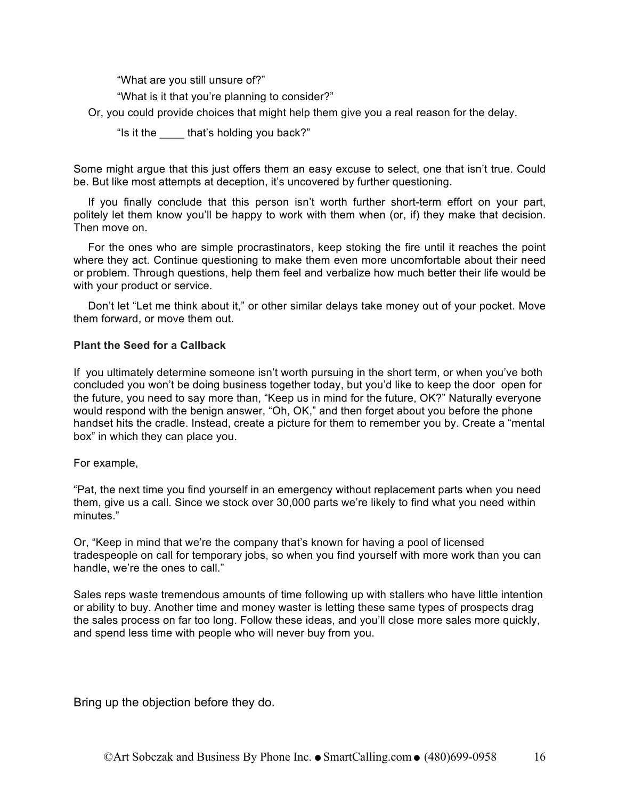"What are you still unsure of?"

"What is it that you're planning to consider?"

Or, you could provide choices that might help them give you a real reason for the delay.

"Is it the \_\_\_\_ that's holding you back?"

Some might argue that this just offers them an easy excuse to select, one that isn't true. Could be. But like most attempts at deception, it's uncovered by further questioning.

If you finally conclude that this person isn't worth further short-term effort on your part, politely let them know you'll be happy to work with them when (or, if) they make that decision. Then move on.

For the ones who are simple procrastinators, keep stoking the fire until it reaches the point where they act. Continue questioning to make them even more uncomfortable about their need or problem. Through questions, help them feel and verbalize how much better their life would be with your product or service.

Don't let "Let me think about it," or other similar delays take money out of your pocket. Move them forward, or move them out.

## **Plant the Seed for a Callback**

If you ultimately determine someone isn't worth pursuing in the short term, or when you've both concluded you won't be doing business together today, but you'd like to keep the door open for the future, you need to say more than, "Keep us in mind for the future, OK?" Naturally everyone would respond with the benign answer, "Oh, OK," and then forget about you before the phone handset hits the cradle. Instead, create a picture for them to remember you by. Create a "mental box" in which they can place you.

### For example,

"Pat, the next time you find yourself in an emergency without replacement parts when you need them, give us a call. Since we stock over 30,000 parts we're likely to find what you need within minutes."

Or, "Keep in mind that we're the company that's known for having a pool of licensed tradespeople on call for temporary jobs, so when you find yourself with more work than you can handle, we're the ones to call."

Sales reps waste tremendous amounts of time following up with stallers who have little intention or ability to buy. Another time and money waster is letting these same types of prospects drag the sales process on far too long. Follow these ideas, and you'll close more sales more quickly, and spend less time with people who will never buy from you.

Bring up the objection before they do.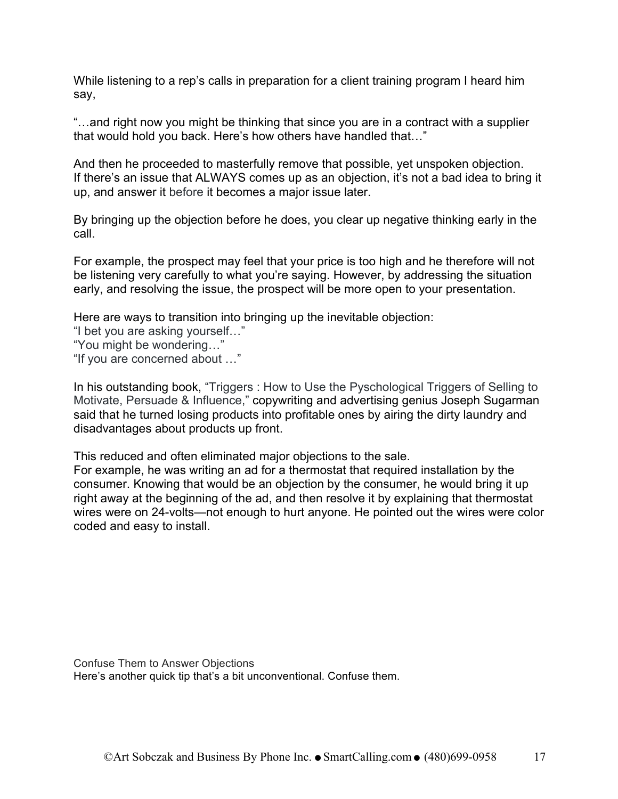While listening to a rep's calls in preparation for a client training program I heard him say,

"…and right now you might be thinking that since you are in a contract with a supplier that would hold you back. Here's how others have handled that…"

And then he proceeded to masterfully remove that possible, yet unspoken objection. If there's an issue that ALWAYS comes up as an objection, it's not a bad idea to bring it up, and answer it before it becomes a major issue later.

By bringing up the objection before he does, you clear up negative thinking early in the call.

For example, the prospect may feel that your price is too high and he therefore will not be listening very carefully to what you're saying. However, by addressing the situation early, and resolving the issue, the prospect will be more open to your presentation.

Here are ways to transition into bringing up the inevitable objection:

- "I bet you are asking yourself…"
- "You might be wondering…"
- "If you are concerned about …"

In his outstanding book, "Triggers : How to Use the Pyschological Triggers of Selling to Motivate, Persuade & Influence," copywriting and advertising genius Joseph Sugarman said that he turned losing products into profitable ones by airing the dirty laundry and disadvantages about products up front.

This reduced and often eliminated major objections to the sale.

For example, he was writing an ad for a thermostat that required installation by the consumer. Knowing that would be an objection by the consumer, he would bring it up right away at the beginning of the ad, and then resolve it by explaining that thermostat wires were on 24-volts—not enough to hurt anyone. He pointed out the wires were color coded and easy to install.

Confuse Them to Answer Objections Here's another quick tip that's a bit unconventional. Confuse them.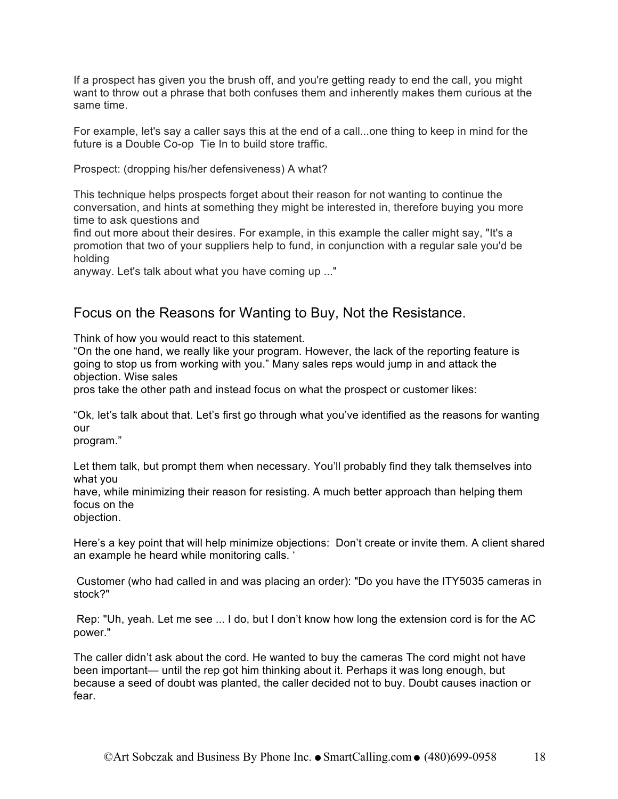If a prospect has given you the brush off, and you're getting ready to end the call, you might want to throw out a phrase that both confuses them and inherently makes them curious at the same time.

For example, let's say a caller says this at the end of a call...one thing to keep in mind for the future is a Double Co-op Tie In to build store traffic.

Prospect: (dropping his/her defensiveness) A what?

This technique helps prospects forget about their reason for not wanting to continue the conversation, and hints at something they might be interested in, therefore buying you more time to ask questions and

find out more about their desires. For example, in this example the caller might say, "It's a promotion that two of your suppliers help to fund, in conjunction with a regular sale you'd be holding

anyway. Let's talk about what you have coming up ..."

# Focus on the Reasons for Wanting to Buy, Not the Resistance.

Think of how you would react to this statement.

"On the one hand, we really like your program. However, the lack of the reporting feature is going to stop us from working with you." Many sales reps would jump in and attack the objection. Wise sales

pros take the other path and instead focus on what the prospect or customer likes:

"Ok, let's talk about that. Let's first go through what you've identified as the reasons for wanting our

program."

Let them talk, but prompt them when necessary. You'll probably find they talk themselves into what you

have, while minimizing their reason for resisting. A much better approach than helping them focus on the

objection.

Here's a key point that will help minimize objections: Don't create or invite them. A client shared an example he heard while monitoring calls. '

Customer (who had called in and was placing an order): "Do you have the ITY5035 cameras in stock?"

Rep: "Uh, yeah. Let me see ... I do, but I don't know how long the extension cord is for the AC power."

The caller didn't ask about the cord. He wanted to buy the cameras The cord might not have been important— until the rep got him thinking about it. Perhaps it was long enough, but because a seed of doubt was planted, the caller decided not to buy. Doubt causes inaction or fear.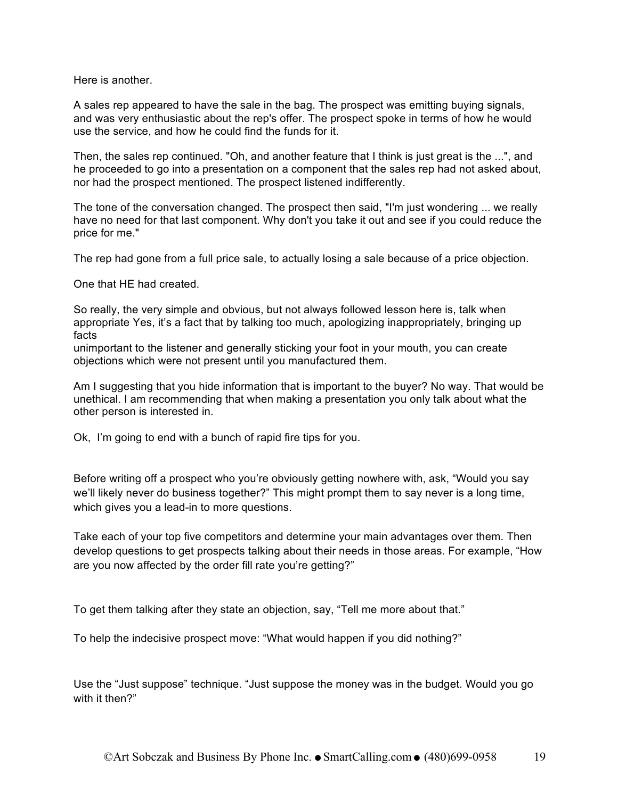Here is another.

A sales rep appeared to have the sale in the bag. The prospect was emitting buying signals, and was very enthusiastic about the rep's offer. The prospect spoke in terms of how he would use the service, and how he could find the funds for it.

Then, the sales rep continued. "Oh, and another feature that I think is just great is the ...", and he proceeded to go into a presentation on a component that the sales rep had not asked about, nor had the prospect mentioned. The prospect listened indifferently.

The tone of the conversation changed. The prospect then said, "I'm just wondering ... we really have no need for that last component. Why don't you take it out and see if you could reduce the price for me."

The rep had gone from a full price sale, to actually losing a sale because of a price objection.

One that HE had created.

So really, the very simple and obvious, but not always followed lesson here is, talk when appropriate Yes, it's a fact that by talking too much, apologizing inappropriately, bringing up facts

unimportant to the listener and generally sticking your foot in your mouth, you can create objections which were not present until you manufactured them.

Am I suggesting that you hide information that is important to the buyer? No way. That would be unethical. I am recommending that when making a presentation you only talk about what the other person is interested in.

Ok, I'm going to end with a bunch of rapid fire tips for you.

Before writing off a prospect who you're obviously getting nowhere with, ask, "Would you say we'll likely never do business together?" This might prompt them to say never is a long time, which gives you a lead-in to more questions.

Take each of your top five competitors and determine your main advantages over them. Then develop questions to get prospects talking about their needs in those areas. For example, "How are you now affected by the order fill rate you're getting?"

To get them talking after they state an objection, say, "Tell me more about that."

To help the indecisive prospect move: "What would happen if you did nothing?"

Use the "Just suppose" technique. "Just suppose the money was in the budget. Would you go with it then?"